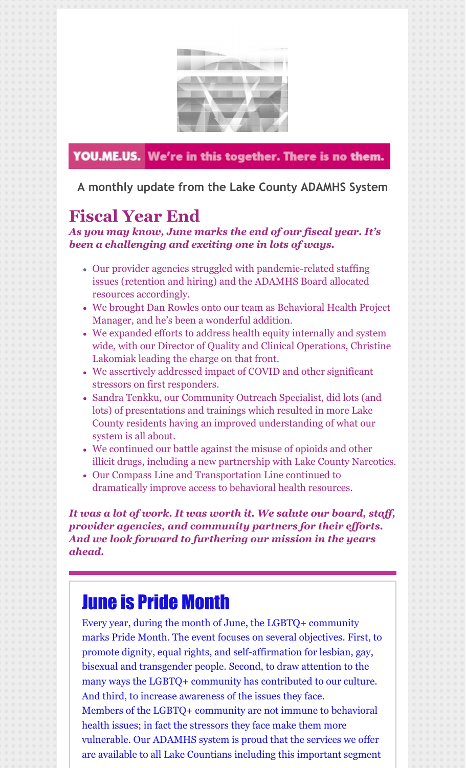

### YOU.ME.US. We're in this together. There is no them.

**A monthly update from the Lake County ADAMHS System**

## **Fiscal Year End**

*As you may know, June marks the end of our fiscal year. It's been a challenging and exciting one in lots of ways.*

- Our provider agencies struggled with pandemic-related staffing issues (retention and hiring) and the ADAMHS Board allocated resources accordingly.
- We brought Dan Rowles onto our team as Behavioral Health Project Manager, and he's been a wonderful addition.
- We expanded efforts to address health equity internally and system wide, with our Director of Quality and Clinical Operations, Christine Lakomiak leading the charge on that front.
- We assertively addressed impact of COVID and other significant stressors on first responders.
- Sandra Tenkku, our Community Outreach Specialist, did lots (and lots) of presentations and trainings which resulted in more Lake County residents having an improved understanding of what our system is all about.
- We continued our battle against the misuse of opioids and other illicit drugs, including a new partnership with Lake County Narcotics.
- Our Compass Line and Transportation Line continued to dramatically improve access to behavioral health resources.

*It was a lot of work. It was worth it. We salute our board, staf , provider agencies, and community partners for their ef orts. And we look forward to furthering our mission in the years ahead.*

# June is Pride Month

Every year, during the month of June, the LGBTQ+ community marks Pride Month. The event focuses on several objectives. First, to promote dignity, equal rights, and self-affirmation for lesbian, gay, bisexual and transgender people. Second, to draw attention to the many ways the LGBTQ+ community has contributed to our culture. And third, to increase awareness of the issues they face. Members of the LGBTQ+ community are not immune to behavioral health issues; in fact the stressors they face make them more vulnerable. Our ADAMHS system is proud that the services we offer are available to all Lake Countians including this important segment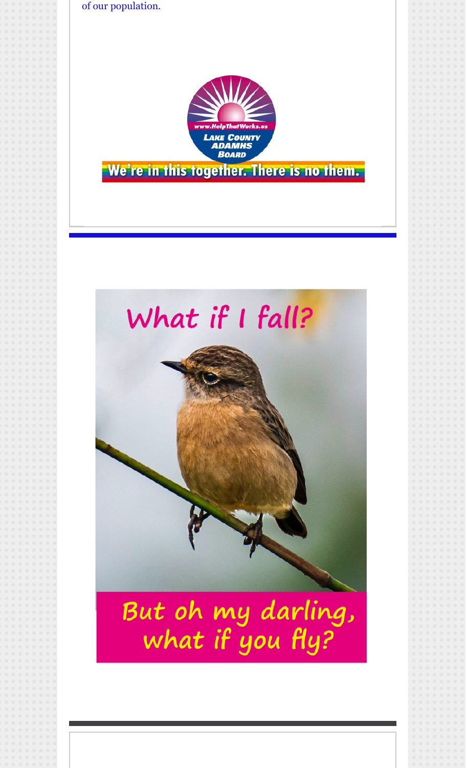of our population.



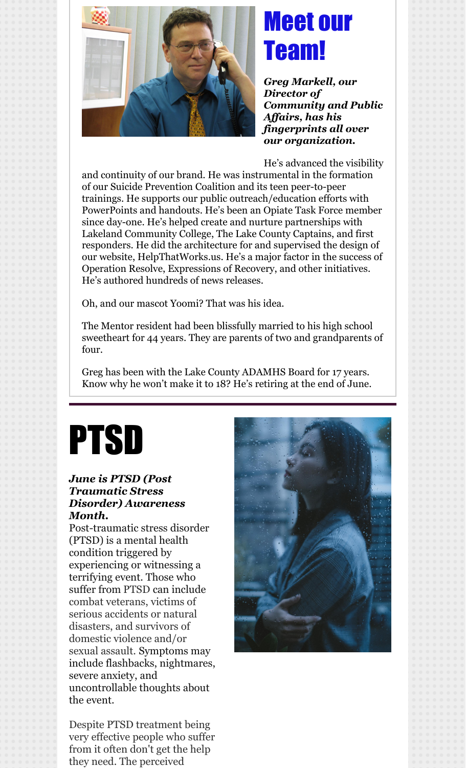

# Meet our Team!

*Greg Markell, our Director of Community and Public Af airs, has his fingerprints all over our organization.*

He's advanced the visibility

and continuity of our brand. He was instrumental in the formation of our Suicide Prevention Coalition and its teen peer-to-peer trainings. He supports our public outreach/education efforts with PowerPoints and handouts. He's been an Opiate Task Force member since day-one. He's helped create and nurture partnerships with Lakeland Community College, The Lake County Captains, and first responders. He did the architecture for and supervised the design of our website, HelpThatWorks.us. He's a major factor in the success of Operation Resolve, Expressions of Recovery, and other initiatives. He's authored hundreds of news releases.

Oh, and our mascot Yoomi? That was his idea.

The Mentor resident had been blissfully married to his high school sweetheart for 44 years. They are parents of two and grandparents of four.

Greg has been with the Lake County ADAMHS Board for 17 years. Know why he won't make it to 18? He's retiring at the end of June.

# PTSD

#### *June is PTSD (Post Traumatic Stress Disorder) Awareness Month.*

Post-traumatic stress disorder (PTSD) is a mental health condition triggered by experiencing or witnessing a terrifying event. Those who suffer from PTSD can include combat veterans, victims of serious accidents or natural disasters, and survivors of domestic violence and/or sexual assault. Symptoms may include flashbacks, nightmares, severe anxiety, and uncontrollable thoughts about the event.

Despite PTSD treatment being very effective people who suffer from it often don't get the help they need. The perceived

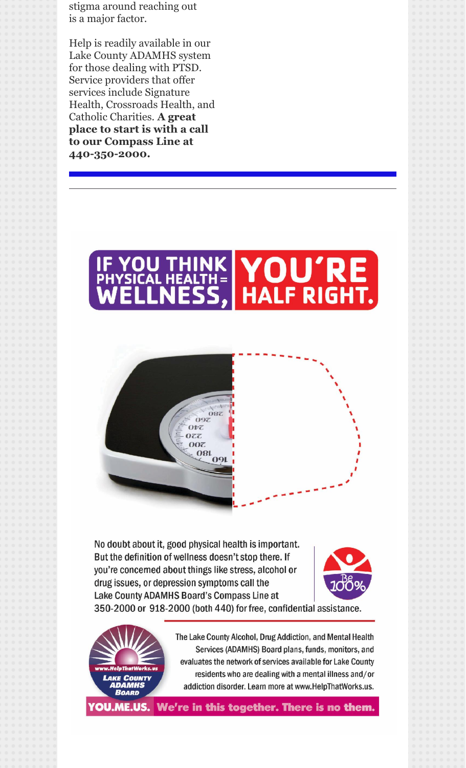stigma around reaching out is a major factor.

Help is readily available in our Lake County ADAMHS system for those dealing with PTSD. Service providers that offer services include Signature Health, Crossroads Health, and Catholic Charities. **A great place to start is with a call to our Compass Line at 440-350-2000.**





No doubt about it, good physical health is important. But the definition of wellness doesn't stop there. If you're concerned about things like stress, alcohol or drug issues, or depression symptoms call the Lake County ADAMHS Board's Compass Line at 350-2000 or 918-2000 (both 440) for free, confidential assistance.





The Lake County Alcohol, Drug Addiction, and Mental Health Services (ADAMHS) Board plans, funds, monitors, and evaluates the network of services available for Lake County residents who are dealing with a mental illness and/or addiction disorder. Learn more at www.HelpThatWorks.us.

**'OU.ME.US.** We're in this together. There is no them.